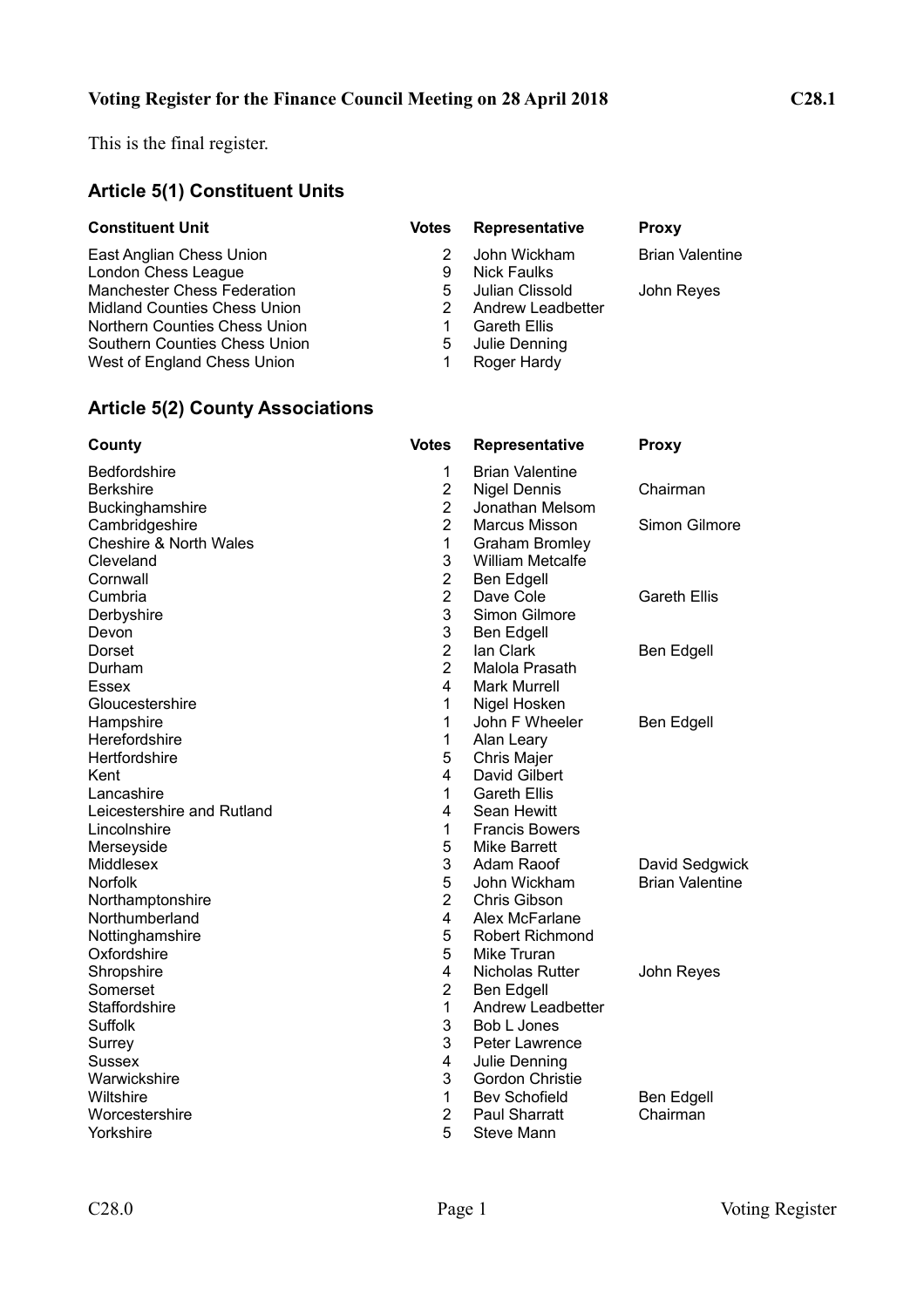This is the final register.

# **Article 5(1) Constituent Units**

| <b>Constituent Unit</b>             | <b>Votes</b> | Representative      | <b>Proxy</b>           |
|-------------------------------------|--------------|---------------------|------------------------|
| East Anglian Chess Union            |              | John Wickham        | <b>Brian Valentine</b> |
| London Chess League                 | 9            | Nick Faulks         |                        |
| <b>Manchester Chess Federation</b>  | 5.           | Julian Clissold     | John Reyes             |
| <b>Midland Counties Chess Union</b> | 2            | Andrew Leadbetter   |                        |
| Northern Counties Chess Union       |              | <b>Gareth Ellis</b> |                        |
| Southern Counties Chess Union       | 5            | Julie Denning       |                        |
| West of England Chess Union         |              | Roger Hardy         |                        |

# **Article 5(2) County Associations**

| County                            | <b>Votes</b>   | Representative           | <b>Proxy</b>           |
|-----------------------------------|----------------|--------------------------|------------------------|
| Bedfordshire                      | 1              | <b>Brian Valentine</b>   |                        |
| <b>Berkshire</b>                  | $\overline{2}$ | <b>Nigel Dennis</b>      | Chairman               |
| Buckinghamshire                   | $\overline{2}$ | Jonathan Melsom          |                        |
| Cambridgeshire                    | $\overline{2}$ | Marcus Misson            | Simon Gilmore          |
| <b>Cheshire &amp; North Wales</b> | 1              | <b>Graham Bromley</b>    |                        |
| Cleveland                         | 3              | <b>William Metcalfe</b>  |                        |
| Cornwall                          | $\overline{2}$ | Ben Edgell               |                        |
| Cumbria                           | $\overline{2}$ | Dave Cole                | <b>Gareth Ellis</b>    |
| Derbyshire                        | 3              | Simon Gilmore            |                        |
| Devon                             | 3              | Ben Edgell               |                        |
| Dorset                            | $\overline{2}$ | lan Clark                | Ben Edgell             |
| Durham                            | $\overline{2}$ | Malola Prasath           |                        |
| Essex                             | 4              | <b>Mark Murrell</b>      |                        |
| Gloucestershire                   | 1              | Nigel Hosken             |                        |
| Hampshire                         | 1              | John F Wheeler           | Ben Edgell             |
| Herefordshire                     | 1              | Alan Leary               |                        |
| Hertfordshire                     | 5              | Chris Majer              |                        |
| Kent                              | 4              | David Gilbert            |                        |
| Lancashire                        | 1              | <b>Gareth Ellis</b>      |                        |
| Leicestershire and Rutland        | 4              | Sean Hewitt              |                        |
| Lincolnshire                      | 1              | <b>Francis Bowers</b>    |                        |
| Merseyside                        | 5              | Mike Barrett             |                        |
| Middlesex                         | 3              | Adam Raoof               | David Sedgwick         |
| <b>Norfolk</b>                    | 5              | John Wickham             | <b>Brian Valentine</b> |
| Northamptonshire                  | $\overline{2}$ | Chris Gibson             |                        |
| Northumberland                    | $\overline{4}$ | Alex McFarlane           |                        |
| Nottinghamshire                   | 5              | <b>Robert Richmond</b>   |                        |
| Oxfordshire                       | 5              | Mike Truran              |                        |
| Shropshire                        | 4              | Nicholas Rutter          | John Reyes             |
| Somerset                          | $\overline{2}$ | <b>Ben Edgell</b>        |                        |
| Staffordshire                     | 1              | <b>Andrew Leadbetter</b> |                        |
| Suffolk                           | 3              | Bob L Jones              |                        |
| Surrey                            | 3              | Peter Lawrence           |                        |
| <b>Sussex</b>                     | 4              | Julie Denning            |                        |
| Warwickshire                      | 3              | <b>Gordon Christie</b>   |                        |
| Wiltshire                         | 1              | <b>Bev Schofield</b>     | Ben Edgell             |
| Worcestershire                    | $\overline{2}$ | Paul Sharratt            | Chairman               |
| Yorkshire                         | 5              | Steve Mann               |                        |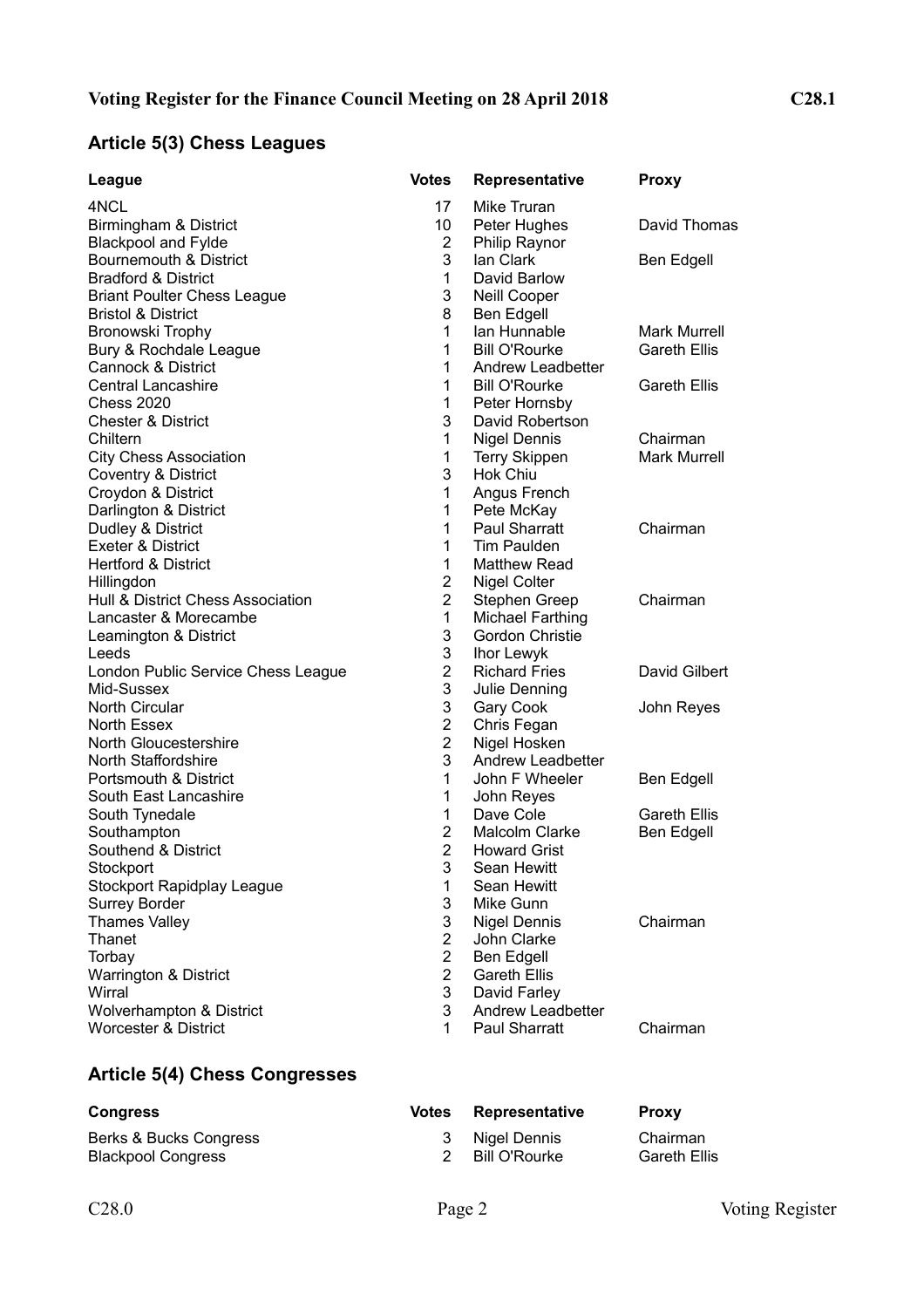## **Article 5(3) Chess Leagues**

| League                                              | <b>Votes</b>        | Representative                      | <b>Proxy</b>        |
|-----------------------------------------------------|---------------------|-------------------------------------|---------------------|
| 4NCL                                                | 17                  | Mike Truran                         |                     |
| Birmingham & District                               | 10                  | Peter Hughes                        | David Thomas        |
| <b>Blackpool and Fylde</b>                          | $\overline{2}$      | Philip Raynor                       |                     |
| Bournemouth & District                              | 3                   | lan Clark                           | Ben Edgell          |
| <b>Bradford &amp; District</b>                      | 1                   | David Barlow                        |                     |
| <b>Briant Poulter Chess League</b>                  | 3                   | Neill Cooper                        |                     |
| <b>Bristol &amp; District</b>                       | 8                   | <b>Ben Edgell</b>                   |                     |
| Bronowski Trophy                                    | 1                   | lan Hunnable                        | <b>Mark Murrell</b> |
| Bury & Rochdale League                              | 1                   | <b>Bill O'Rourke</b>                | <b>Gareth Ellis</b> |
| <b>Cannock &amp; District</b>                       | 1                   | Andrew Leadbetter                   |                     |
| <b>Central Lancashire</b>                           | $\mathbf 1$         | <b>Bill O'Rourke</b>                | <b>Gareth Ellis</b> |
| <b>Chess 2020</b>                                   | 1                   | Peter Hornsby                       |                     |
| <b>Chester &amp; District</b>                       | 3                   | David Robertson                     |                     |
| Chiltern                                            | 1                   | <b>Nigel Dennis</b>                 | Chairman            |
| <b>City Chess Association</b>                       | 1                   | <b>Terry Skippen</b>                | <b>Mark Murrell</b> |
| Coventry & District                                 | 3                   | <b>Hok Chiu</b>                     |                     |
| Croydon & District                                  | $\mathbf{1}$        | Angus French                        |                     |
| Darlington & District                               | 1                   | Pete McKay                          |                     |
| Dudley & District                                   | $\mathbf{1}$        | <b>Paul Sharratt</b>                | Chairman            |
| <b>Exeter &amp; District</b>                        | 1                   | <b>Tim Paulden</b>                  |                     |
| <b>Hertford &amp; District</b>                      | 1                   | <b>Matthew Read</b>                 |                     |
| Hillingdon                                          | $\overline{2}$      | <b>Nigel Colter</b>                 |                     |
| Hull & District Chess Association                   | $\overline{2}$      | Stephen Greep                       | Chairman            |
| Lancaster & Morecambe                               | 1                   | <b>Michael Farthing</b>             |                     |
| Leamington & District                               | 3                   | Gordon Christie                     |                     |
| Leeds                                               | 3                   | Ihor Lewyk                          |                     |
| London Public Service Chess League                  | $\overline{2}$      | <b>Richard Fries</b>                | David Gilbert       |
| Mid-Sussex                                          | 3                   | Julie Denning                       |                     |
| <b>North Circular</b>                               | 3                   | Gary Cook                           | John Reyes          |
| North Essex                                         | $\overline{2}$      | Chris Fegan                         |                     |
| North Gloucestershire                               | $\overline{2}$<br>3 | Nigel Hosken                        |                     |
| <b>North Staffordshire</b><br>Portsmouth & District | 1                   | Andrew Leadbetter<br>John F Wheeler |                     |
|                                                     | 1                   |                                     | Ben Edgell          |
| South East Lancashire                               | 1                   | John Reyes<br>Dave Cole             | Gareth Ellis        |
| South Tynedale                                      | $\overline{2}$      | Malcolm Clarke                      | <b>Ben Edgell</b>   |
| Southampton<br>Southend & District                  | $\overline{2}$      | <b>Howard Grist</b>                 |                     |
|                                                     |                     |                                     |                     |
| Stockport<br><b>Stockport Rapidplay League</b>      | 3<br>1              | Sean Hewitt<br>Sean Hewitt          |                     |
| <b>Surrey Border</b>                                | 3                   | Mike Gunn                           |                     |
| <b>Thames Valley</b>                                | 3                   | <b>Nigel Dennis</b>                 | Chairman            |
| Thanet                                              | $\overline{2}$      | John Clarke                         |                     |
| Torbay                                              | $\overline{2}$      | Ben Edgell                          |                     |
| Warrington & District                               | $\overline{2}$      | <b>Gareth Ellis</b>                 |                     |
| Wirral                                              | 3                   | David Farley                        |                     |
| Wolverhampton & District                            | 3                   | Andrew Leadbetter                   |                     |
| <b>Worcester &amp; District</b>                     | 1                   | <b>Paul Sharratt</b>                | Chairman            |
|                                                     |                     |                                     |                     |

## **Article 5(4) Chess Congresses**

| <b>Congress</b>           | Votes | Representative  | <b>Proxy</b>        |
|---------------------------|-------|-----------------|---------------------|
| Berks & Bucks Congress    | -3-   | Nigel Dennis    | Chairman            |
| <b>Blackpool Congress</b> |       | - Bill O'Rourke | <b>Gareth Ellis</b> |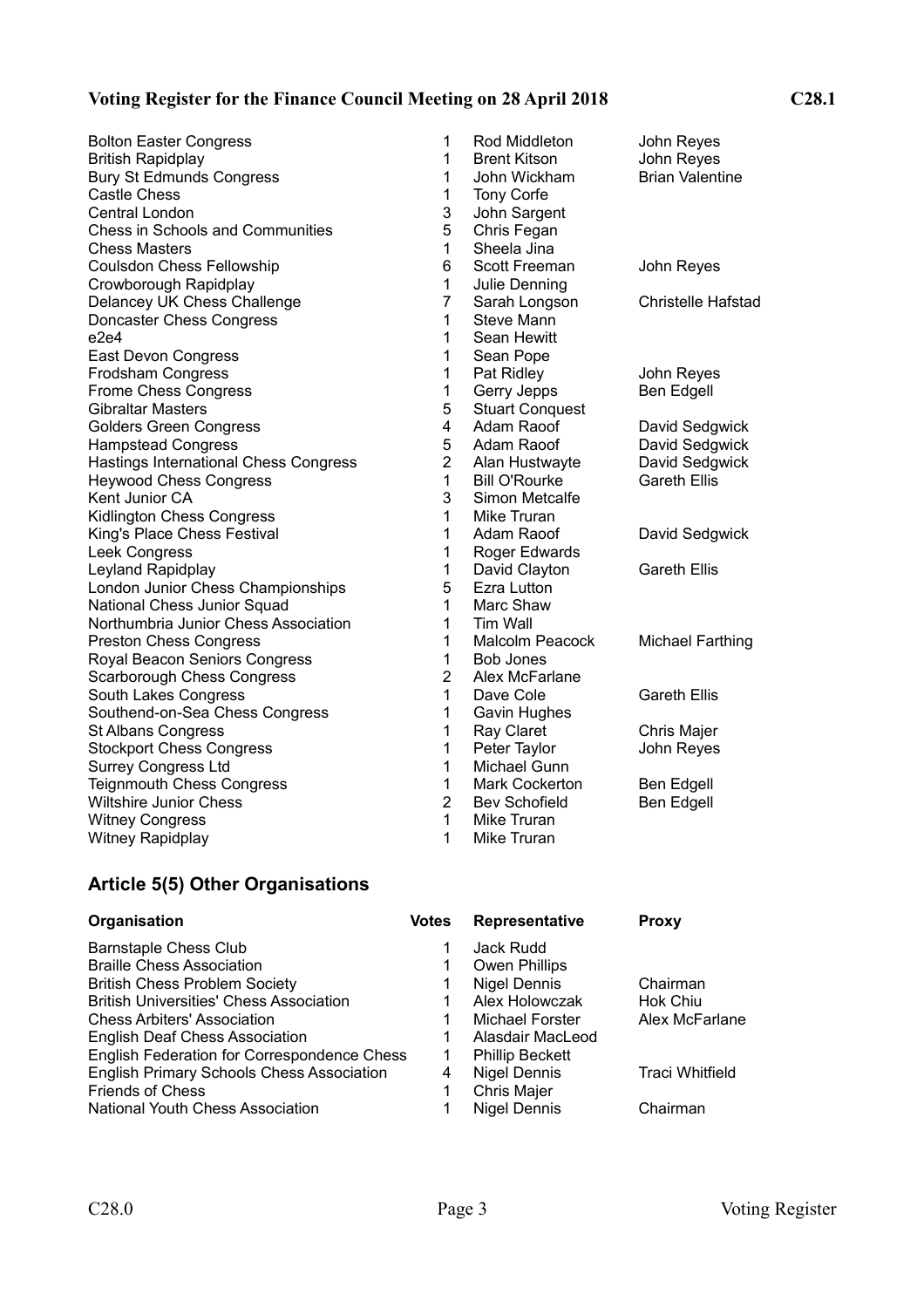#### **Voting Register for the Finance Council Meeting on 28 April 2018 C28.1**

Bolton Easter Congress 1 Rod Middleton John Reyes British Rapidplay **1 Brent Kitson** John Reyes Bury St Edmunds Congress 1 John Wickham Brian Valentine Castle Chess 1 Tony Corfe<br>
Central London 1 2 3 John Sarge Central London 3 John Sargent Chess in Schools and Communities 5 Chris Fegan **Chess Masters**  1 Sheela Jina Coulsdon Chess Fellowship 6 Scott Freeman John Reyes Crowborough Rapidplay 1 Julie Denning Delancey UK Chess Challenge The Change The Sarah Longson Christelle Hafstad Doncaster Chess Congress 1 Steve Mann e2e4 1 Sean Hewitt<br>
East Devon Congress<br>
1 Sean Pope East Devon Congress 1 New 1 Frodsham Congress The Constant of the Congress of the Pat Ridley Theorem John Reyes Frome Chess Congress **1 Gerry Jepps** Ben Edgell Gibraltar Masters **6 Stuart Conquest** 6 Stuart Conquest Golders Green Congress and Manuel Adam Raoof Colders David Sedgwick Hampstead Congress 5 Adam Raoof David Sedgwick Hastings International Chess Congress 2 Alan Hustwayte David Sedgwick Heywood Chess Congress **1** Bill O'Rourke Gareth Ellis Kent Junior CA 3 Simon Metcalfe Kidlington Chess Congress 1 Mike Truran<br>
King's Place Chess Festival 1 Adam Raoof King's Place Chess Festival **1 Adam Raoof** David Sedgwick Leek Congress **1 Roger Edwards** Leyland Rapidplay<br>
London Junior Chess Championships<br>
1 David Clayton Gareth Ellis<br>
5 Ezra Lutton London Junior Chess Championships **5** Ezra Lutton National Chess Junior Squad 1 Marc Shaw Northumbria Junior Chess Association 1 Tim Wall Preston Chess Congress 2008 1 Malcolm Peacock Michael Farthing Royal Beacon Seniors Congress 1 Bob Jones Scarborough Chess Congress 2 Alex McFarlane South Lakes Congress **1** Dave Cole Gareth Ellis Southend-on-Sea Chess Congress 1 Gavin Hughes St Albans Congress 1 Ray Claret Chris Majer Stockport Chess Congress 1 Peter Taylor Surrey Congress Ltd 1 Michael Gunn Teignmouth Chess Congress Test Cockerton Ben Edgell Wiltshire Junior Chess **2 Bev Schofield** Ben Edgell Witney Congress 2008 1 Mike Truran Witney Rapidplay **1 Mike Truran** 

### **Article 5(5) Other Organisations**

| Organisation                                     | <b>Votes</b> | Representative         | <b>Proxy</b>    |
|--------------------------------------------------|--------------|------------------------|-----------------|
| <b>Barnstaple Chess Club</b>                     | 1            | Jack Rudd              |                 |
| <b>Braille Chess Association</b>                 |              | <b>Owen Phillips</b>   |                 |
| <b>British Chess Problem Society</b>             |              | Nigel Dennis           | Chairman        |
| <b>British Universities' Chess Association</b>   | 1            | Alex Holowczak         | Hok Chiu        |
| <b>Chess Arbiters' Association</b>               | 1            | Michael Forster        | Alex McFarlane  |
| <b>English Deaf Chess Association</b>            | 1            | Alasdair MacLeod       |                 |
| English Federation for Correspondence Chess      | 1            | <b>Phillip Beckett</b> |                 |
| <b>English Primary Schools Chess Association</b> | 4            | <b>Nigel Dennis</b>    | Traci Whitfield |
| <b>Friends of Chess</b>                          |              | Chris Majer            |                 |
| <b>National Youth Chess Association</b>          |              | <b>Nigel Dennis</b>    | Chairman        |